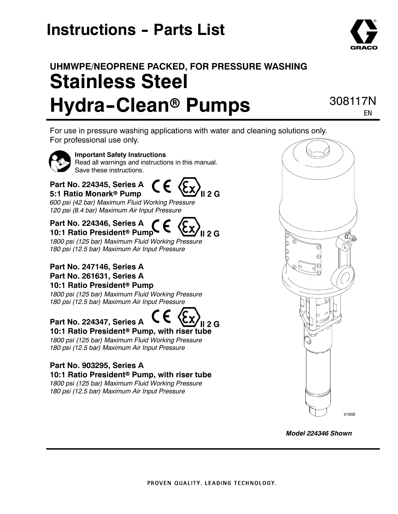## **Instructions - Parts List**

## **UHMWPE/NEOPRENE PACKED, FOR PRESSURE WASHING Stainless Steel Hydra-Clean® Pumps**

308117N EN

For use in pressure washing applications with water and cleaning solutions only. For professional use only.

II 2 G



**Important Safety Instructions** Read all warnings and instructions in this manual. Save these instructions.

### **Part No. 224345, Series A 5:1 Ratio Monark<sup>®</sup> Pump**

*600 psi (42 bar) Maximum Fluid Working Pressure 120 psi (8.4 bar) Maximum Air Input Pressure*

### **Part No. 224346, Series A**

**10:1 Ratio President<sup>®</sup> Pump**  $II 2 G$ *1800 psi (125 bar) Maximum Fluid Working Pressure*

*180 psi (12.5 bar) Maximum Air Input Pressure*

#### **Part No. 247146, Series A Part No. 261631, Series A 10:1 Ratio President<sup>®</sup> Pump**

*1800 psi (125 bar) Maximum Fluid Working Pressure 180 psi (12.5 bar) Maximum Air Input Pressure*

#### **Part No. 224347, Series A** II 2 G **10:1 Ratio President<sup>®</sup> Pump, with riser tube**

*1800 psi (125 bar) Maximum Fluid Working Pressure 180 psi (12.5 bar) Maximum Air Input Pressure*

### **Part No. 903295, Series A 10:1 Ratio President<sup>®</sup> Pump, with riser tube**

*1800 psi (125 bar) Maximum Fluid Working Pressure 180 psi (12.5 bar) Maximum Air Input Pressure*



*Model 224346 Shown*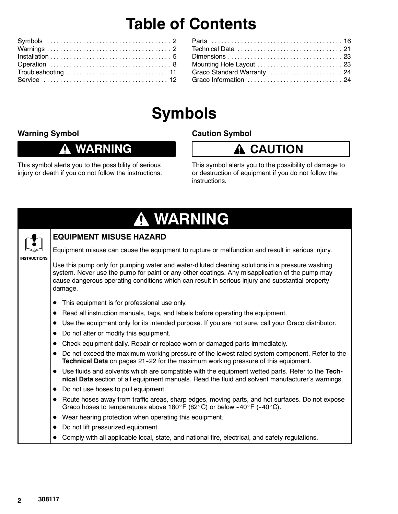## **Table of Contents**

| Mounting Hole Layout  23    |  |
|-----------------------------|--|
| Graco Standard Warranty  24 |  |
| Graco Information  24       |  |
|                             |  |

## **Symbols**

### **Warning Symbol**

Λ

### **WARNING**

**Caution Symbol**

### **A** CAUTION

This symbol alerts you to the possibility of serious injury or death if you do not follow the instructions.

This symbol alerts you to the possibility of damage to or destruction of equipment if you do not follow the instructions.

|                     | A WARNING                                                                                                                                                                                                                                                                                                        |
|---------------------|------------------------------------------------------------------------------------------------------------------------------------------------------------------------------------------------------------------------------------------------------------------------------------------------------------------|
|                     | <b>EQUIPMENT MISUSE HAZARD</b>                                                                                                                                                                                                                                                                                   |
|                     | Equipment misuse can cause the equipment to rupture or malfunction and result in serious injury.                                                                                                                                                                                                                 |
| <b>INSTRUCTIONS</b> | Use this pump only for pumping water and water-diluted cleaning solutions in a pressure washing<br>system. Never use the pump for paint or any other coatings. Any misapplication of the pump may<br>cause dangerous operating conditions which can result in serious injury and substantial property<br>damage. |
|                     | This equipment is for professional use only.                                                                                                                                                                                                                                                                     |
|                     | Read all instruction manuals, tags, and labels before operating the equipment.<br>$\bullet$                                                                                                                                                                                                                      |
|                     | Use the equipment only for its intended purpose. If you are not sure, call your Graco distributor.<br>$\bullet$                                                                                                                                                                                                  |
|                     | Do not alter or modify this equipment.                                                                                                                                                                                                                                                                           |
|                     | Check equipment daily. Repair or replace worn or damaged parts immediately.                                                                                                                                                                                                                                      |
|                     | Do not exceed the maximum working pressure of the lowest rated system component. Refer to the<br>$\bullet$<br>Technical Data on pages 21-22 for the maximum working pressure of this equipment.                                                                                                                  |
|                     | • Use fluids and solvents which are compatible with the equipment wetted parts. Refer to the Tech-<br>nical Data section of all equipment manuals. Read the fluid and solvent manufacturer's warnings.                                                                                                           |
|                     | Do not use hoses to pull equipment.<br>$\bullet$                                                                                                                                                                                                                                                                 |
|                     | Route hoses away from traffic areas, sharp edges, moving parts, and hot surfaces. Do not expose<br>Graco hoses to temperatures above 180°F (82°C) or below -40°F (-40°C).                                                                                                                                        |
|                     | Wear hearing protection when operating this equipment.<br>$\bullet$                                                                                                                                                                                                                                              |
|                     | Do not lift pressurized equipment.<br>$\bullet$                                                                                                                                                                                                                                                                  |
|                     | Comply with all applicable local, state, and national fire, electrical, and safety regulations.                                                                                                                                                                                                                  |
|                     |                                                                                                                                                                                                                                                                                                                  |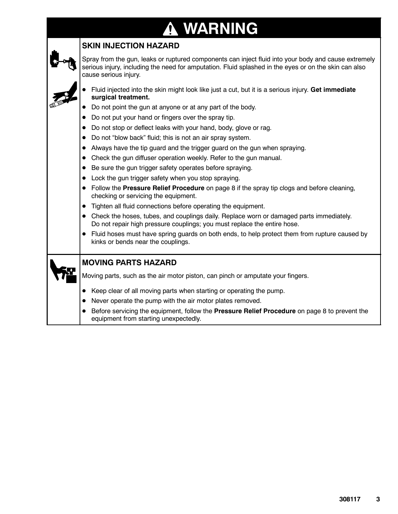### **WARNING ↑**

### **SKIN INJECTION HAZARD**

Spray from the gun, leaks or ruptured components can inject fluid into your body and cause extremely serious injury, including the need for amputation. Fluid splashed in the eyes or on the skin can also cause serious injury.

- D Fluid injected into the skin might look like just a cut, but it is a serious injury. **Get immediate surgical treatment.**
- Do not point the gun at anyone or at any part of the body.
- Do not put your hand or fingers over the spray tip.
- Do not stop or deflect leaks with your hand, body, glove or rag.
- Do not "blow back" fluid; this is not an air spray system.
- Always have the tip guard and the trigger guard on the gun when spraying.
- Check the gun diffuser operation weekly. Refer to the gun manual.
- Be sure the gun trigger safety operates before spraying.
- Lock the gun trigger safety when you stop spraying.
- Follow the **Pressure Relief Procedure** on page 8 if the spray tip clogs and before cleaning, checking or servicing the equipment.
- Tighten all fluid connections before operating the equipment.
- Check the hoses, tubes, and couplings daily. Replace worn or damaged parts immediately. Do not repair high pressure couplings; you must replace the entire hose.
- Fluid hoses must have spring guards on both ends, to help protect them from rupture caused by kinks or bends near the couplings.

#### **MOVING PARTS HAZARD**

Moving parts, such as the air motor piston, can pinch or amputate your fingers.

- Keep clear of all moving parts when starting or operating the pump.
- Never operate the pump with the air motor plates removed.
- **•** Before servicing the equipment, follow the **Pressure Relief Procedure** on page 8 to prevent the equipment from starting unexpectedly.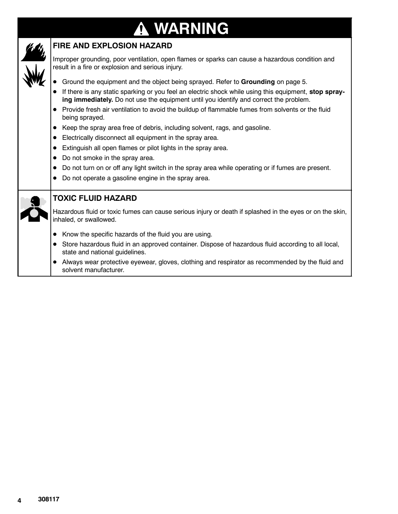### **WARNING**  $\bf \Omega$



### **FIRE AND EXPLOSION HAZARD**

Improper grounding, poor ventilation, open flames or sparks can cause a hazardous condition and result in a fire or explosion and serious injury.

- **•** Ground the equipment and the object being sprayed. Refer to Grounding on page 5.
- **•** If there is any static sparking or you feel an electric shock while using this equipment, stop spray**ing immediately.** Do not use the equipment until you identify and correct the problem.
- Provide fresh air ventilation to avoid the buildup of flammable fumes from solvents or the fluid being sprayed.
- Keep the spray area free of debris, including solvent, rags, and gasoline.
- **•** Electrically disconnect all equipment in the spray area.
- $\bullet$  Extinguish all open flames or pilot lights in the spray area.
- Do not smoke in the spray area.
- $\bullet$  Do not turn on or off any light switch in the spray area while operating or if fumes are present.
- Do not operate a gasoline engine in the spray area.



#### **TOXIC FLUID HAZARD**

Hazardous fluid or toxic fumes can cause serious injury or death if splashed in the eyes or on the skin, inhaled, or swallowed.

- $\bullet$  Know the specific hazards of the fluid you are using.
- Store hazardous fluid in an approved container. Dispose of hazardous fluid according to all local, state and national guidelines.
- Always wear protective eyewear, gloves, clothing and respirator as recommended by the fluid and solvent manufacturer.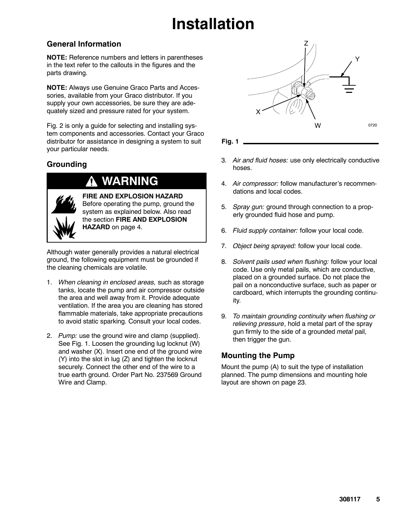## **Installation**

### **General Information**

**NOTE:** Reference numbers and letters in parentheses in the text refer to the callouts in the figures and the parts drawing.

**NOTE:** Always use Genuine Graco Parts and Accessories, available from your Graco distributor. If you supply your own accessories, be sure they are adequately sized and pressure rated for your system.

Fig. 2 is only a guide for selecting and installing system components and accessories. Contact your Graco distributor for assistance in designing a system to suit your particular needs.

### **Grounding**

### **WARNING**



**FIRE AND EXPLOSION HAZARD** Before operating the pump, ground the system as explained below. Also read the section **FIRE AND EXPLOSION HAZARD** on page 4.

Although water generally provides a natural electrical ground, the following equipment must be grounded if the cleaning chemicals are volatile.

- 1. *When cleaning in enclosed areas,* such as storage tanks, locate the pump and air compressor outside the area and well away from it. Provide adequate ventilation. If the area you are cleaning has stored flammable materials, take appropriate precautions to avoid static sparking. Consult your local codes.
- 2. *Pump:* use the ground wire and clamp (supplied). See Fig. 1. Loosen the grounding lug locknut (W) and washer (X). Insert one end of the ground wire (Y) into the slot in lug (Z) and tighten the locknut securely. Connect the other end of the wire to a true earth ground. Order Part No. 237569 Ground Wire and Clamp.



**Fig. 1**

- 3. *Air and fluid hoses:* use only electrically conductive hoses.
- 4. *Air compressor:* follow manufacturer's recommendations and local codes.
- 5. *Spray gun:* ground through connection to a properly grounded fluid hose and pump.
- 6. *Fluid supply container:* follow your local code.
- 7. *Object being sprayed:* follow your local code.
- 8. *Solvent pails used when flushing:* follow your local code. Use only metal pails, which are conductive, placed on a grounded surface. Do not place the pail on a nonconductive surface, such as paper or cardboard, which interrupts the grounding continuity.
- 9. *To maintain grounding continuity when flushing or relieving pressure*, hold a metal part of the spray gun firmly to the side of a grounded *metal* pail, then trigger the gun.

### **Mounting the Pump**

Mount the pump (A) to suit the type of installation planned. The pump dimensions and mounting hole layout are shown on page 23.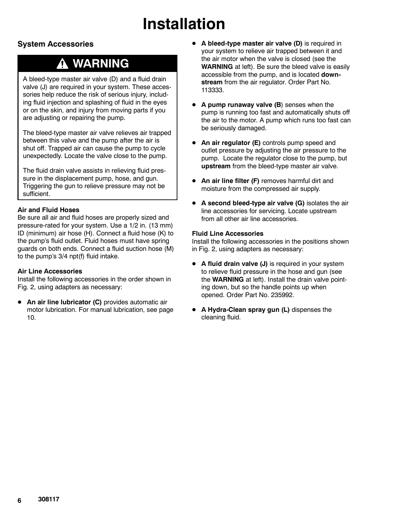## **Installation**

### **System Accessories**

### **WARNING**

A bleed-type master air valve (D) and a fluid drain valve (J) are required in your system. These accessories help reduce the risk of serious injury, including fluid injection and splashing of fluid in the eyes or on the skin, and injury from moving parts if you are adjusting or repairing the pump.

The bleed-type master air valve relieves air trapped between this valve and the pump after the air is shut off. Trapped air can cause the pump to cycle unexpectedly. Locate the valve close to the pump.

The fluid drain valve assists in relieving fluid pressure in the displacement pump, hose, and gun. Triggering the gun to relieve pressure may not be sufficient.

#### **Air and Fluid Hoses**

Be sure all air and fluid hoses are properly sized and pressure-rated for your system. Use a 1/2 in. (13 mm) ID (minimum) air hose (H). Connect a fluid hose (K) to the pump's fluid outlet. Fluid hoses must have spring guards on both ends. Connect a fluid suction hose (M) to the pump's 3/4 npt(f) fluid intake.

#### **Air Line Accessories**

Install the following accessories in the order shown in Fig. 2, using adapters as necessary:

**• An air line lubricator (C)** provides automatic air motor lubrication. For manual lubrication, see page 10.

- **•** A bleed-type master air valve (D) is required in your system to relieve air trapped between it and the air motor when the valve is closed (see the **WARNING** at left). Be sure the bleed valve is easily accessible from the pump, and is located **downstream** from the air regulator. Order Part No. 113333.
- **A pump runaway valve (B)** senses when the pump is running too fast and automatically shuts off the air to the motor. A pump which runs too fast can be seriously damaged.
- An air regulator (E) controls pump speed and outlet pressure by adjusting the air pressure to the pump. Locate the regulator close to the pump, but **upstream** from the bleed-type master air valve.
- **An air line filter (F)** removes harmful dirt and moisture from the compressed air supply.
- **•** A second bleed-type air valve (G) isolates the air line accessories for servicing. Locate upstream from all other air line accessories.

#### **Fluid Line Accessories**

Install the following accessories in the positions shown in Fig. 2, using adapters as necessary:

- **A fluid drain valve (J)** is required in your system to relieve fluid pressure in the hose and gun (see the **WARNING** at left). Install the drain valve pointing down, but so the handle points up when opened. Order Part No. 235992.
- **A Hydra-Clean spray gun (L)** dispenses the cleaning fluid.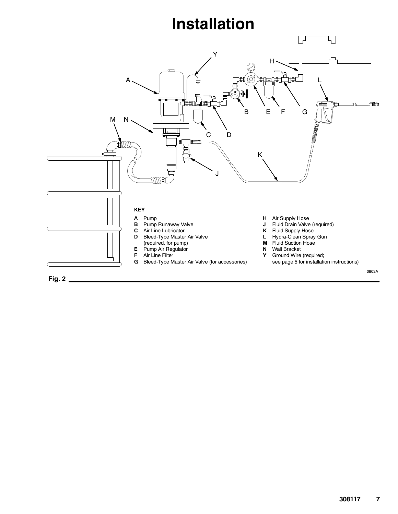## **Installation**

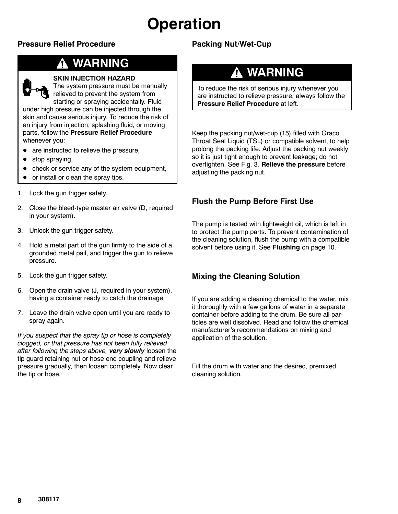## **Operation**

### **Pressure Relief Procedure**

### **WARNING**



#### **SKIN INJECTION HAZARD**

The system pressure must be manually relieved to prevent the system from

starting or spraying accidentally. Fluid under high pressure can be injected through the skin and cause serious injury. To reduce the risk of an injury from injection, splashing fluid, or moving parts, follow the **Pressure Relief Procedure** whenever you:

- are instructed to relieve the pressure,
- stop spraying,
- $\bullet$  check or service any of the system equipment,
- or install or clean the spray tips.
- 1. Lock the gun trigger safety.
- 2. Close the bleed-type master air valve (D, required in your system).
- 3. Unlock the gun trigger safety.
- 4. Hold a metal part of the gun firmly to the side of a grounded metal pail, and trigger the gun to relieve pressure.
- 5. Lock the gun trigger safety.
- 6. Open the drain valve (J, required in your system), having a container ready to catch the drainage.
- 7. Leave the drain valve open until you are ready to spray again.

*If you suspect that the spray tip or hose is completely clogged, or that pressure has not been fully relieved after following the steps above, very slowly* loosen the tip guard retaining nut or hose end coupling and relieve pressure gradually, then loosen completely. Now clear the tip or hose.

### **Packing Nut/Wet-Cup**

### **WARNING**

To reduce the risk of serious injury whenever you are instructed to relieve pressure, always follow the **Pressure Relief Procedure** at left.

Keep the packing nut/wet-cup (15) filled with Graco Throat Seal Liquid (TSL) or compatible solvent, to help prolong the packing life. Adjust the packing nut weekly so it is just tight enough to prevent leakage; do not overtighten. See Fig. 3. **Relieve the pressure** before adjusting the packing nut.

### **Flush the Pump Before First Use**

The pump is tested with lightweight oil, which is left in to protect the pump parts. To prevent contamination of the cleaning solution, flush the pump with a compatible solvent before using it. See **Flushing** on page 10.

### **Mixing the Cleaning Solution**

If you are adding a cleaning chemical to the water, mix it thoroughly with a few gallons of water in a separate container before adding to the drum. Be sure all particles are well dissolved. Read and follow the chemical manufacturer's recommendations on mixing and application of the solution.

Fill the drum with water and the desired, premixed cleaning solution.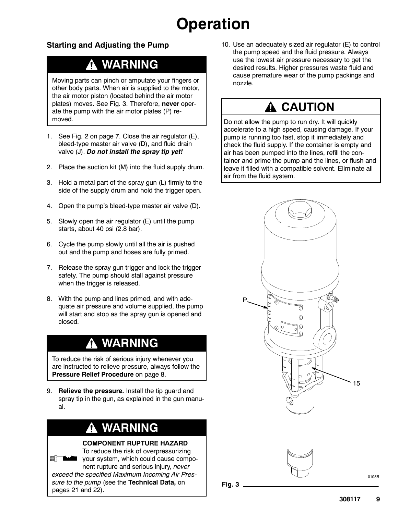## **Operation**

### **Starting and Adjusting the Pump**

### **WARNING**

Moving parts can pinch or amputate your fingers or other body parts. When air is supplied to the motor, the air motor piston (located behind the air motor plates) moves. See Fig. 3. Therefore, **never** operate the pump with the air motor plates (P) removed.

- 1. See Fig. 2 on page 7. Close the air regulator (E), bleed-type master air valve (D), and fluid drain valve (J). *Do not install the spray tip yet!*
- 2. Place the suction kit (M) into the fluid supply drum.
- 3. Hold a metal part of the spray gun (L) firmly to the side of the supply drum and hold the trigger open.
- 4. Open the pump's bleed-type master air valve (D).
- 5. Slowly open the air regulator (E) until the pump starts, about 40 psi (2.8 bar).
- 6. Cycle the pump slowly until all the air is pushed out and the pump and hoses are fully primed.
- 7. Release the spray gun trigger and lock the trigger safety. The pump should stall against pressure when the trigger is released.
- 8. With the pump and lines primed, and with adequate air pressure and volume supplied, the pump will start and stop as the spray gun is opened and closed.

### **WARNING**

To reduce the risk of serious injury whenever you are instructed to relieve pressure, always follow the **Pressure Relief Procedure** on page 8.

9. **Relieve the pressure.** Install the tip guard and spray tip in the gun, as explained in the gun manual.

### **WARNING**

#### **COMPONENT RUPTURE HAZARD**



To reduce the risk of overpressurizing your system, which could cause component rupture and serious injury, *never exceed the specified Maximum Incoming Air Pres-*

*sure to the pump* (see the **Technical Data,** on pages 21 and 22).

10. Use an adequately sized air regulator (E) to control the pump speed and the fluid pressure. Always use the lowest air pressure necessary to get the desired results. Higher pressures waste fluid and cause premature wear of the pump packings and nozzle.

### **A CAUTION**

Do not allow the pump to run dry. It will quickly accelerate to a high speed, causing damage. If your pump is running too fast, stop it immediately and check the fluid supply. If the container is empty and air has been pumped into the lines, refill the container and prime the pump and the lines, or flush and leave it filled with a compatible solvent. Eliminate all air from the fluid system.

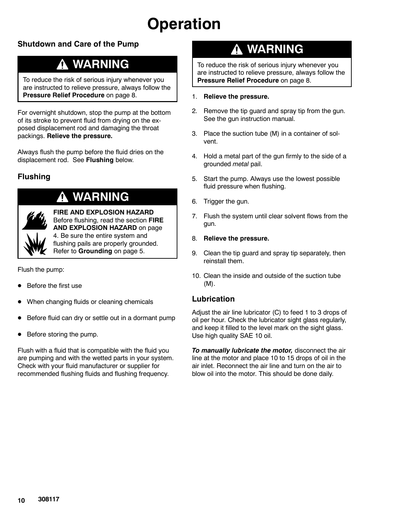## **Operation**

### **Shutdown and Care of the Pump**

### **WARNING**

To reduce the risk of serious injury whenever you are instructed to relieve pressure, always follow the **Pressure Relief Procedure** on page 8.

For overnight shutdown, stop the pump at the bottom of its stroke to prevent fluid from drying on the exposed displacement rod and damaging the throat packings. **Relieve the pressure.**

Always flush the pump before the fluid dries on the displacement rod. See **Flushing** below.

### **Flushing**

### **WARNING**

**FIRE AND EXPLOSION HAZARD** Before flushing, read the section **FIRE AND EXPLOSION HAZARD** on page 4. Be sure the entire system and flushing pails are properly grounded. Refer to **Grounding** on page 5.

Flush the pump:

- Before the first use
- When changing fluids or cleaning chemicals
- Before fluid can dry or settle out in a dormant pump
- $\bullet$  Before storing the pump.

Flush with a fluid that is compatible with the fluid you are pumping and with the wetted parts in your system. Check with your fluid manufacturer or supplier for recommended flushing fluids and flushing frequency.

### **WARNING**

To reduce the risk of serious injury whenever you are instructed to relieve pressure, always follow the **Pressure Relief Procedure** on page 8.

- 1. **Relieve the pressure.**
- 2. Remove the tip guard and spray tip from the gun. See the gun instruction manual.
- 3. Place the suction tube (M) in a container of solvent.
- 4. Hold a metal part of the gun firmly to the side of a grounded *metal* pail.
- 5. Start the pump. Always use the lowest possible fluid pressure when flushing.
- 6. Trigger the gun.
- 7. Flush the system until clear solvent flows from the gun.
- 8. **Relieve the pressure.**
- 9. Clean the tip guard and spray tip separately, then reinstall them.
- 10. Clean the inside and outside of the suction tube (M).

#### **Lubrication**

Adjust the air line lubricator (C) to feed 1 to 3 drops of oil per hour. Check the lubricator sight glass regularly, and keep it filled to the level mark on the sight glass. Use high quality SAE 10 oil.

*To manually lubricate the motor,* disconnect the air line at the motor and place 10 to 15 drops of oil in the air inlet. Reconnect the air line and turn on the air to blow oil into the motor. This should be done daily.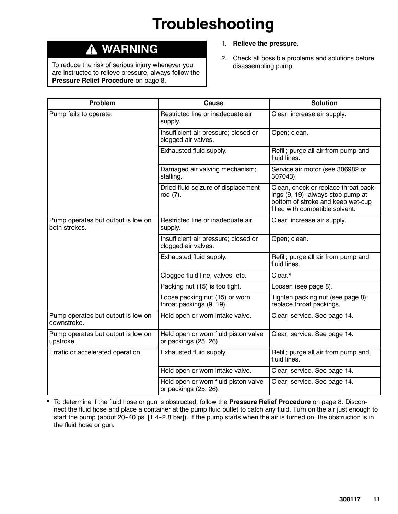## **Troubleshooting**

### **WARNING**

To reduce the risk of serious injury whenever you are instructed to relieve pressure, always follow the **Pressure Relief Procedure** on page 8.

- 1. **Relieve the pressure.**
- 2. Check all possible problems and solutions before disassembling pump.

| <b>Problem</b>                                      | Cause                                                         | <b>Solution</b>                                                                                                                                   |  |
|-----------------------------------------------------|---------------------------------------------------------------|---------------------------------------------------------------------------------------------------------------------------------------------------|--|
| Pump fails to operate.                              | Restricted line or inadequate air<br>supply.                  | Clear; increase air supply.                                                                                                                       |  |
|                                                     | Insufficient air pressure; closed or<br>clogged air valves.   | Open; clean.                                                                                                                                      |  |
|                                                     | Exhausted fluid supply.                                       | Refill; purge all air from pump and<br>fluid lines.                                                                                               |  |
|                                                     | Damaged air valving mechanism;<br>stalling.                   | Service air motor (see 306982 or<br>307043).                                                                                                      |  |
|                                                     | Dried fluid seizure of displacement<br>rod (7).               | Clean, check or replace throat pack-<br>ings (9, 19); always stop pump at<br>bottom of stroke and keep wet-cup<br>filled with compatible solvent. |  |
| Pump operates but output is low on<br>both strokes. | Restricted line or inadequate air<br>supply.                  | Clear; increase air supply.                                                                                                                       |  |
|                                                     | Insufficient air pressure; closed or<br>clogged air valves.   | Open; clean.                                                                                                                                      |  |
|                                                     | Exhausted fluid supply.                                       | Refill; purge all air from pump and<br>fluid lines.                                                                                               |  |
|                                                     | Clogged fluid line, valves, etc.                              | Clear.*                                                                                                                                           |  |
|                                                     | Packing nut (15) is too tight.                                | Loosen (see page 8).                                                                                                                              |  |
|                                                     | Loose packing nut (15) or worn<br>throat packings (9, 19).    | Tighten packing nut (see page 8);<br>replace throat packings.                                                                                     |  |
| Pump operates but output is low on<br>downstroke.   | Held open or worn intake valve.                               | Clear; service. See page 14.                                                                                                                      |  |
| Pump operates but output is low on<br>upstroke.     | Held open or worn fluid piston valve<br>or packings (25, 26). | Clear; service. See page 14.                                                                                                                      |  |
| Erratic or accelerated operation.                   | Exhausted fluid supply.                                       | Refill; purge all air from pump and<br>fluid lines.                                                                                               |  |
|                                                     | Held open or worn intake valve.                               | Clear; service. See page 14.                                                                                                                      |  |
|                                                     | Held open or worn fluid piston valve<br>or packings (25, 26). | Clear; service. See page 14.                                                                                                                      |  |

\* To determine if the fluid hose or gun is obstructed, follow the **Pressure Relief Procedure** on page 8. Disconnect the fluid hose and place a container at the pump fluid outlet to catch any fluid. Turn on the air just enough to start the pump (about 20-40 psi [1.4-2.8 bar]). If the pump starts when the air is turned on, the obstruction is in the fluid hose or gun.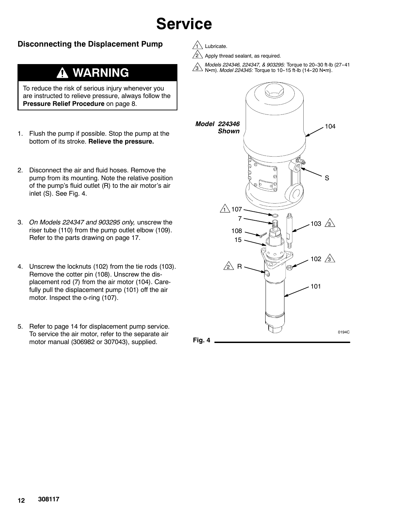### **Disconnecting the Displacement Pump**

#### **WARNING**  $\boldsymbol{\Lambda}$

To reduce the risk of serious injury whenever you are instructed to relieve pressure, always follow the **Pressure Relief Procedure** on page 8.

- 1. Flush the pump if possible. Stop the pump at the bottom of its stroke. **Relieve the pressure.**
- 2. Disconnect the air and fluid hoses. Remove the pump from its mounting. Note the relative position of the pump's fluid outlet (R) to the air motor's air inlet (S). See Fig. 4.
- 3. *On Models 224347 and 903295 only,* unscrew the riser tube (110) from the pump outlet elbow (109). Refer to the parts drawing on page 17.
- 4. Unscrew the locknuts (102) from the tie rods (103). Remove the cotter pin (108). Unscrew the displacement rod (7) from the air motor (104). Carefully pull the displacement pump (101) off the air motor. Inspect the o-ring (107).
- 5. Refer to page 14 for displacement pump service. To service the air motor, refer to the separate air motor manual (306982 or 307043), supplied. **Fig. 4**



2 Apply thread sealant, as required.

 $3^{3}$  Mem). *Model 224345:* Torque to 10-15 ft-lb (14-20 Nem). *Models 224346, 224347, & 903295:* Torque to 20--30 ft-lb (27--41



**12 308117**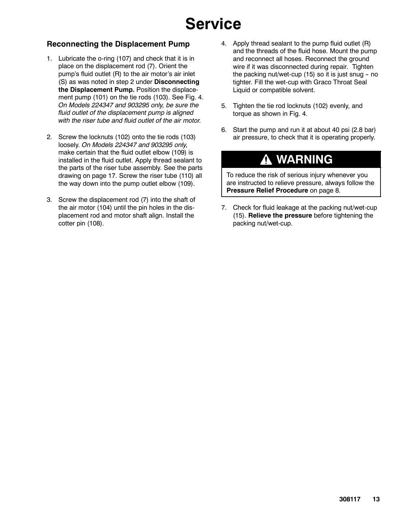### **Reconnecting the Displacement Pump**

- 1. Lubricate the o-ring (107) and check that it is in place on the displacement rod (7). Orient the pump's fluid outlet (R) to the air motor's air inlet (S) as was noted in step 2 under **Disconnecting the Displacement Pump.** Position the displacement pump (101) on the tie rods (103). See Fig. 4. *On Models 224347 and 903295 only, be sure the fluid outlet of the displacement pump is aligned with the riser tube and fluid outlet of the air motor.*
- 2. Screw the locknuts (102) onto the tie rods (103) loosely. *On Models 224347 and 903295 only,* make certain that the fluid outlet elbow (109) is installed in the fluid outlet. Apply thread sealant to the parts of the riser tube assembly. See the parts drawing on page 17. Screw the riser tube (110) all the way down into the pump outlet elbow (109).
- 3. Screw the displacement rod (7) into the shaft of the air motor (104) until the pin holes in the displacement rod and motor shaft align. Install the cotter pin (108).
- 4. Apply thread sealant to the pump fluid outlet (R) and the threads of the fluid hose. Mount the pump and reconnect all hoses. Reconnect the ground wire if it was disconnected during repair. Tighten the packing nut/wet-cup  $(15)$  so it is just snug - no tighter. Fill the wet-cup with Graco Throat Seal Liquid or compatible solvent.
- 5. Tighten the tie rod locknuts (102) evenly, and torque as shown in Fig. 4.
- 6. Start the pump and run it at about 40 psi (2.8 bar) air pressure, to check that it is operating properly.

### **WARNING**

To reduce the risk of serious injury whenever you are instructed to relieve pressure, always follow the **Pressure Relief Procedure** on page 8.

7. Check for fluid leakage at the packing nut/wet-cup (15). **Relieve the pressure** before tightening the packing nut/wet-cup.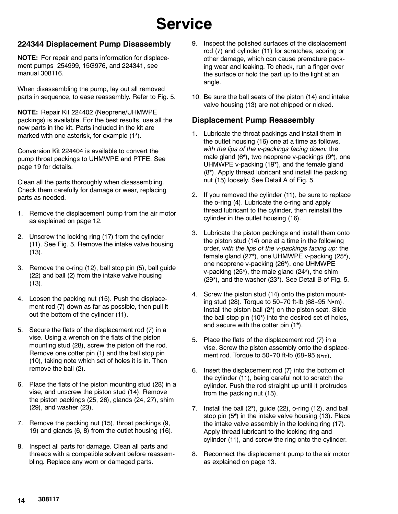#### **224344 Displacement Pump Disassembly**

**NOTE:** For repair and parts information for displacement pumps 254999, 15G976, and 224341, see manual 308116.

When disassembling the pump, lay out all removed parts in sequence, to ease reassembly. Refer to Fig. 5.

**NOTE:** Repair Kit 224402 (Neoprene/UHMWPE packings) is available. For the best results, use all the new parts in the kit. Parts included in the kit are marked with one asterisk, for example (1\*).

Conversion Kit 224404 is available to convert the pump throat packings to UHMWPE and PTFE. See page 19 for details.

Clean all the parts thoroughly when disassembling. Check them carefully for damage or wear, replacing parts as needed.

- 1. Remove the displacement pump from the air motor as explained on page 12.
- 2. Unscrew the locking ring (17) from the cylinder (11). See Fig. 5. Remove the intake valve housing (13).
- 3. Remove the o-ring (12), ball stop pin (5), ball guide (22) and ball (2) from the intake valve housing (13).
- 4. Loosen the packing nut (15). Push the displacement rod (7) down as far as possible, then pull it out the bottom of the cylinder (11).
- 5. Secure the flats of the displacement rod (7) in a vise. Using a wrench on the flats of the piston mounting stud (28), screw the piston off the rod. Remove one cotter pin (1) and the ball stop pin (10), taking note which set of holes it is in. Then remove the ball (2).
- 6. Place the flats of the piston mounting stud (28) in a vise, and unscrew the piston stud (14). Remove the piston packings (25, 26), glands (24, 27), shim (29), and washer (23).
- 7. Remove the packing nut (15), throat packings (9, 19) and glands (6, 8) from the outlet housing (16).
- 8. Inspect all parts for damage. Clean all parts and threads with a compatible solvent before reassembling. Replace any worn or damaged parts.
- 9. Inspect the polished surfaces of the displacement rod (7) and cylinder (11) for scratches, scoring or other damage, which can cause premature packing wear and leaking. To check, run a finger over the surface or hold the part up to the light at an angle.
- 10. Be sure the ball seats of the piston (14) and intake valve housing (13) are not chipped or nicked.

#### **Displacement Pump Reassembly**

- 1. Lubricate the throat packings and install them in the outlet housing (16) one at a time as follows, *with the lips of the v-packings facing down:* the male gland (6\*), two neoprene v-packings (9\*), one UHMWPE v-packing (19\*), and the female gland (8\*). Apply thread lubricant and install the packing nut (15) loosely. See Detail A of Fig. 5.
- 2. If you removed the cylinder (11), be sure to replace the o-ring (4). Lubricate the o-ring and apply thread lubricant to the cylinder, then reinstall the cylinder in the outlet housing (16).
- 3. Lubricate the piston packings and install them onto the piston stud (14) one at a time in the following order, *with the lips of the v-packings facing up:* the female gland (27\*), one UHMWPE v-packing (25\*), one neoprene v-packing (26\*), one UHMWPE v-packing (25\*), the male gland (24\*), the shim (29\*), and the washer (23\*). See Detail B of Fig. 5.
- 4. Screw the piston stud (14) onto the piston mounting stud (28). Torque to 50-70 ft-lb (68-95  $N$  $\cdot$ m). Install the piston ball (2\*) on the piston seat. Slide the ball stop pin (10\*) into the desired set of holes, and secure with the cotter pin (1\*).
- 5. Place the flats of the displacement rod (7) in a vise. Screw the piston assembly onto the displacement rod. Torque to  $50-70$  ft-lb (68-95 Nom).
- 6. Insert the displacement rod (7) into the bottom of the cylinder (11), being careful not to scratch the cylinder. Push the rod straight up until it protrudes from the packing nut (15).
- 7. Install the ball (2\*), guide (22), o-ring (12), and ball stop pin (5\*) in the intake valve housing (13). Place the intake valve assembly in the locking ring (17). Apply thread lubricant to the locking ring and cylinder (11), and screw the ring onto the cylinder.
- 8. Reconnect the displacement pump to the air motor as explained on page 13.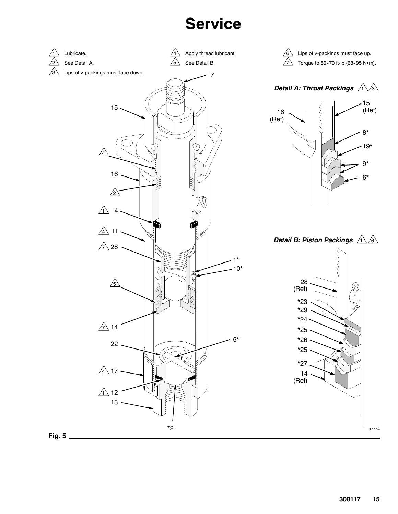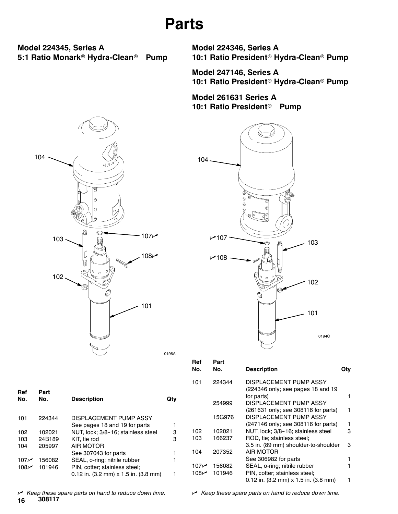## **Parts**

**Model 224345, Series A 5:1 Ratio Monark<sup>®</sup> Hydra-Clean<sup>®</sup> Pump**  **Model 224346, Series A** 10:1 Ratio President<sup>®</sup> Hydra-Clean<sup>®</sup> Pump

**Model 247146, Series A** 10:1 Ratio President<sup>®</sup> Hydra-Clean<sup>®</sup> Pump

**Model 261631 Series A 10:1 Ratio President<sup>®</sup> Pump** 





|                  |        |                                                               |     | Ref<br>No. | Part<br>No. | <b>Description</b>                                            | Qty |
|------------------|--------|---------------------------------------------------------------|-----|------------|-------------|---------------------------------------------------------------|-----|
|                  |        |                                                               |     | 101        | 224344      | DISPLACEMENT PUMP ASSY                                        |     |
| Ref              | Part   |                                                               |     |            |             | (224346 only; see pages 18 and 19                             |     |
| No.              | No.    | <b>Description</b>                                            | Qty |            |             | for parts)                                                    |     |
|                  |        |                                                               |     |            | 254999      | DISPLACEMENT PUMP ASSY                                        |     |
|                  |        |                                                               |     |            |             | (261631 only; see 308116 for parts)                           | 1.  |
| 101              | 224344 | DISPLACEMENT PUMP ASSY                                        |     |            | 15G976      | DISPLACEMENT PUMP ASSY                                        |     |
|                  |        | See pages 18 and 19 for parts                                 |     |            |             | (247146 only; see 308116 for parts)                           | 1.  |
| 102              | 102021 | NUT, lock; 3/8-16; stainless steel                            | 3   | 102        | 102021      | NUT, lock; 3/8-16; stainless steel                            | 3   |
| 103              | 24B189 | KIT, tie rod                                                  | 3   | 103        | 166237      | ROD, tie: stainless steel:                                    |     |
| 104              | 205997 | AIR MOTOR                                                     |     |            |             | 3.5 in. (89 mm) shoulder-to-shoulder                          | 3   |
|                  |        | See 307043 for parts                                          |     | 104        | 207352      | AIR MOTOR                                                     |     |
| 107 <sub>k</sub> | 156082 | SEAL, o-ring; nitrile rubber                                  |     |            |             | See 306982 for parts                                          | 1.  |
| 108 $\nu$        | 101946 | PIN, cotter; stainless steel;                                 |     | م107       | 156082      | SEAL, o-ring; nitrile rubber                                  |     |
|                  |        | 0.12 in. $(3.2 \text{ mm}) \times 1.5$ in. $(3.8 \text{ mm})$ |     | م 108      | 101946      | PIN, cotter; stainless steel;                                 |     |
|                  |        |                                                               |     |            |             | 0.12 in. $(3.2 \text{ mm}) \times 1.5$ in. $(3.8 \text{ mm})$ |     |

**16 308117** n *Keep these spare parts on hand to reduce down time.* n *Keep these spare parts on hand to reduce down time.*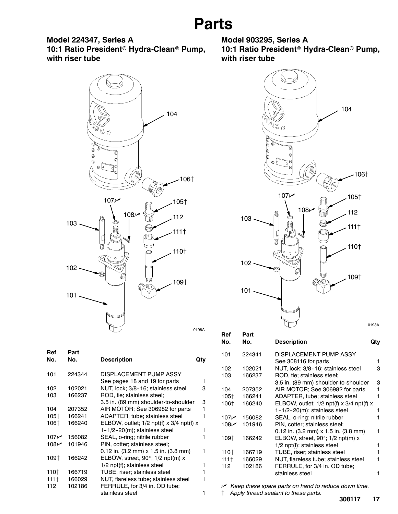**Model 224347, Series A** 10:1 Ratio President<sup>®</sup> Hydra-Clean<sup>®</sup> Pump, **with riser tube**



| Ref<br>No. | Part<br>No. | <b>Description</b>                         | Qtv |
|------------|-------------|--------------------------------------------|-----|
| 101        | 224344      | DISPLACEMENT PUMP ASSY                     |     |
|            |             | See pages 18 and 19 for parts              | 1   |
| 102        | 102021      | NUT, lock; 3/8-16; stainless steel         | з   |
| 103        | 166237      | ROD, tie; stainless steel;                 |     |
|            |             | 3.5 in. (89 mm) shoulder-to-shoulder       | з   |
| 104        | 207352      | AIR MOTOR; See 306982 for parts            | 1   |
| 105†       | 166241      | ADAPTER, tube; stainless steel             | 1   |
| 106†       | 166240      | ELBOW, outlet; $1/2$ npt(f) x 3/4 npt(f) x |     |
|            |             | $1 - 1/2 - 20(m)$ ; stainless steel        | 1   |
| 107 $\sim$ | 156082      | SEAL, o-ring; nitrile rubber               |     |
| 108 $\nu$  | 101946      | PIN, cotter; stainless steel;              |     |
|            |             | $0.12$ in. (3.2 mm) x 1.5 in. (3.8 mm)     |     |
| 109†       | 166242      | ELBOW, street, 90°; 1/2 npt(m) x           |     |
|            |             | 1/2 npt(f); stainless steel                | 1   |
| 110†       | 166719      | TUBE, riser; stainless steel               |     |
| $1111 +$   | 166029      | NUT, flareless tube; stainless steel       |     |
| 112        | 102186      | FERRULE, for 3/4 in. OD tube;              |     |
|            |             | stainless steel                            |     |
|            |             |                                            |     |

**Model 903295, Series A** 10:1 Ratio President<sup>®</sup> Hydra-Clean<sup>®</sup> Pump, **with riser tube**



| neı<br>No. | ган<br>No. | <b>Description</b>                             | Qtv |
|------------|------------|------------------------------------------------|-----|
| 101        | 224341     | DISPLACEMENT PUMP ASSY<br>See 308116 for parts | 1   |
| 102        | 102021     | NUT, lock; 3/8-16; stainless steel             | 3   |
| 103        | 166237     | ROD, tie; stainless steel;                     |     |
|            |            | 3.5 in. (89 mm) shoulder-to-shoulder           | 3   |
| 104        | 207352     | AIR MOTOR; See 306982 for parts                | 1   |
| 105†       | 166241     | ADAPTER, tube; stainless steel                 | 1   |
| 106†       | 166240     | ELBOW, outlet; $1/2$ npt(f) x 3/4 npt(f) x     |     |
|            |            | $1 - 1/2 - 20(m)$ ; stainless steel            | 1   |
| م 107      | 156082     | SEAL, o-ring; nitrile rubber                   |     |
| 108 $\nu$  | 101946     | PIN, cotter; stainless steel;                  |     |
|            |            | 0.12 in. (3.2 mm) x 1.5 in. (3.8 mm)           | 1   |
| 109†       | 166242     | ELBOW, street, 90 $\degree$ ; 1/2 npt(m) x     |     |
|            |            | 1/2 npt(f); stainless steel                    | 1   |
| 110†       | 166719     | TUBE, riser; stainless steel                   | 1   |
| $1111 +$   | 166029     | NUT, flareless tube; stainless steel           | 1   |
| 112        | 102186     | FERRULE, for 3/4 in. OD tube;                  |     |
|            |            | stainless steel                                | 1   |
|            |            |                                                |     |

n *Keep these spare parts on hand to reduce down time.*

{ *Apply thread sealant to these parts.*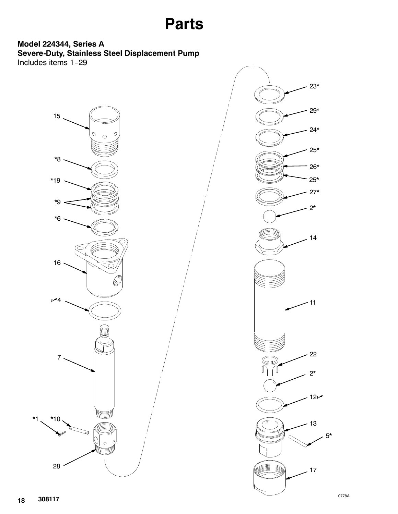## **Parts**

### **Model 224344, Series A Severe-Duty, Stainless Steel Displacement Pump** Includes items 1-29



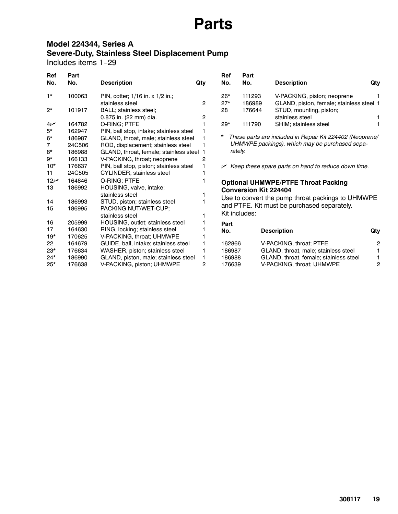## **Parts**

### **Model 224344, Series A Severe-Duty, Stainless Steel Displacement Pump**

Includes items 1-29

| <b>Ref</b><br>No. | Part<br>No. | <b>Description</b>                      | Qty            | <b>Ref</b><br>No. | Part<br>No.                  | <b>Description</b>                                                        | Qty |
|-------------------|-------------|-----------------------------------------|----------------|-------------------|------------------------------|---------------------------------------------------------------------------|-----|
| $1*$              | 100063      | PIN, cotter; 1/16 in. x 1/2 in.;        |                | $26*$             | 111293                       | V-PACKING, piston; neoprene                                               |     |
|                   |             | stainless steel                         | $\overline{2}$ | $27*$             | 186989                       | GLAND, piston, female; stainless steel 1                                  |     |
| $2^{\star}$       | 101917      | BALL; stainless steel;                  |                | 28                | 176644                       | STUD, mounting, piston;                                                   |     |
|                   |             | 0.875 in. (22 mm) dia.                  | 2              |                   |                              | stainless steel                                                           |     |
| $4\nu$            | 164782      | O-RING; PTFE                            |                | $29*$             | 111790                       | SHIM; stainless steel                                                     |     |
| $5*$              | 162947      | PIN, ball stop, intake; stainless steel |                |                   |                              |                                                                           |     |
| $6*$              | 186987      | GLAND, throat, male; stainless steel    |                | *                 |                              | These parts are included in Repair Kit 224402 (Neoprene/                  |     |
| 7                 | 24C506      | ROD, displacement; stainless steel      |                |                   |                              | UHMWPE packings), which may be purchased sepa-                            |     |
| 8*                | 186988      | GLAND, throat, female; stainless steel  |                |                   | rately.                      |                                                                           |     |
| 9*                | 166133      | V-PACKING, throat; neoprene             | 2              |                   |                              |                                                                           |     |
| $10*$             | 176637      | PIN, ball stop, piston; stainless steel |                |                   |                              | $\blacktriangleright$ Keep these spare parts on hand to reduce down time. |     |
| 11                | 24C505      | <b>CYLINDER; stainless steel</b>        |                |                   |                              |                                                                           |     |
| 12 <sub>k</sub>   | 164846      | O-RING; PTFE                            |                |                   |                              | <b>Optional UHMWPE/PTFE Throat Packing</b>                                |     |
| 13                | 186992      | HOUSING, valve, intake;                 |                |                   | <b>Conversion Kit 224404</b> |                                                                           |     |
|                   |             | stainless steel                         |                |                   |                              |                                                                           |     |
| 14                | 186993      | STUD, piston; stainless steel           |                |                   |                              | Use to convert the pump throat packings to UHMWPE                         |     |
| 15                | 186995      | PACKING NUT/WET-CUP;                    |                |                   |                              | and PTFE. Kit must be purchased separately.                               |     |
|                   |             | stainless steel                         |                |                   | Kit includes:                |                                                                           |     |
| 16                | 205999      | HOUSING, outlet; stainless steel        |                | Part              |                              |                                                                           |     |
| 17                | 164630      | RING, locking; stainless steel          |                | No.               |                              | <b>Description</b>                                                        | Qty |
| $19*$             | 170625      | V-PACKING, throat; UHMWPE               |                |                   |                              |                                                                           |     |
| 22                | 164679      | GUIDE, ball, intake; stainless steel    |                | 162866            |                              | V-PACKING, throat; PTFE                                                   | 2   |
| $23*$             | 176634      | WASHER, piston; stainless steel         |                | 186987            |                              | GLAND, throat, male; stainless steel                                      |     |
| $24*$             | 186990      | GLAND, piston, male; stainless steel    |                | 186988            |                              | GLAND, throat, female; stainless steel                                    |     |
| $25*$             | 176638      | V-PACKING, piston; UHMWPE               | 2              | 176639            |                              | V-PACKING, throat; UHMWPE                                                 | 2   |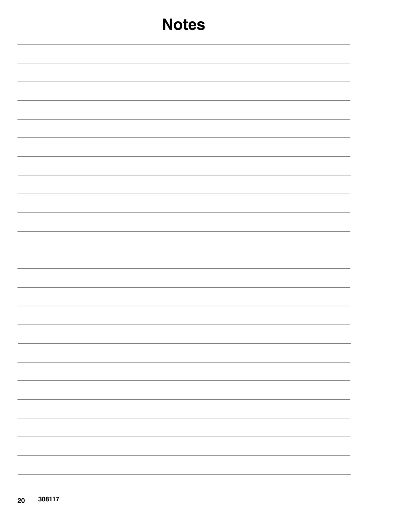| <b>Notes</b>                  |
|-------------------------------|
|                               |
|                               |
|                               |
|                               |
|                               |
|                               |
|                               |
|                               |
|                               |
|                               |
|                               |
|                               |
| -<br>$\overline{\phantom{0}}$ |
|                               |
| $\overline{\phantom{a}}$      |
| -                             |
| $\overbrace{\hspace{15em}}$   |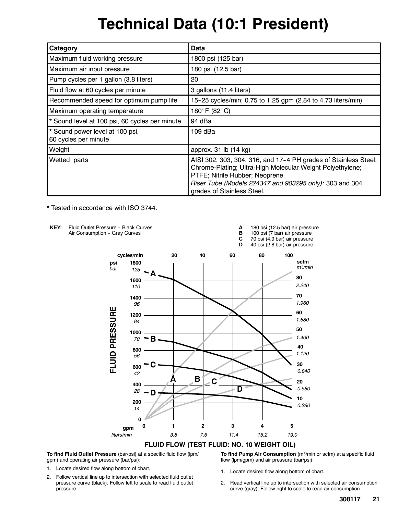## **Technical Data (10:1 President)**

| Category                                                | Data                                                                                                                                                                                                                                                     |
|---------------------------------------------------------|----------------------------------------------------------------------------------------------------------------------------------------------------------------------------------------------------------------------------------------------------------|
| Maximum fluid working pressure                          | 1800 psi (125 bar)                                                                                                                                                                                                                                       |
| Maximum air input pressure                              | 180 psi (12.5 bar)                                                                                                                                                                                                                                       |
| Pump cycles per 1 gallon (3.8 liters)                   | 20                                                                                                                                                                                                                                                       |
| Fluid flow at 60 cycles per minute                      | 3 gallons (11.4 liters)                                                                                                                                                                                                                                  |
| Recommended speed for optimum pump life                 | 15-25 cycles/min; 0.75 to 1.25 gpm (2.84 to 4.73 liters/min)                                                                                                                                                                                             |
| Maximum operating temperature                           | 180°F (82°C)                                                                                                                                                                                                                                             |
| * Sound level at 100 psi, 60 cycles per minute          | 94 dBa                                                                                                                                                                                                                                                   |
| * Sound power level at 100 psi,<br>60 cycles per minute | 109 dBa                                                                                                                                                                                                                                                  |
| Weight                                                  | approx. 31 lb (14 kg)                                                                                                                                                                                                                                    |
| Wetted parts                                            | AISI 302, 303, 304, 316, and 17-4 PH grades of Stainless Steel;<br>Chrome-Plating; Ultra-High Molecular Weight Polyethylene;<br>PTFE; Nitrile Rubber; Neoprene.<br>Riser Tube (Models 224347 and 903295 only): 303 and 304<br>grades of Stainless Steel. |

\* Tested in accordance with ISO 3744.



**To find Fluid Outlet Pressure** (bar/psi) at a specific fluid flow (lpm/ gpm) and operating air pressure (bar/psi):

- 1. Locate desired flow along bottom of chart.
- 2. Follow vertical line up to intersection with selected fluid outlet pressure curve (black). Follow left to scale to read fluid outlet pressure.

**To find Pump Air Consumption** (m3/min or scfm) at a specific fluid flow (lpm/gpm) and air pressure (bar/psi):

- 1. Locate desired flow along bottom of chart.
- 2. Read vertical line up to intersection with selected air consumption curve (gray). Follow right to scale to read air consumption.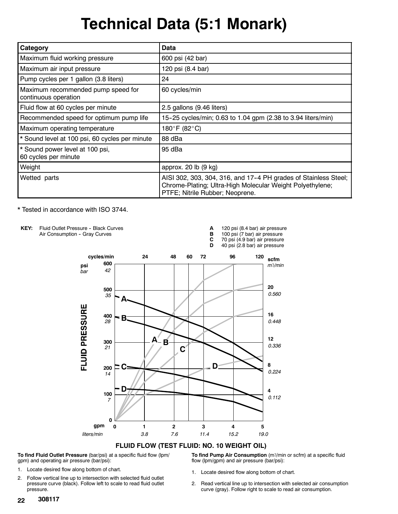## **Technical Data (5:1 Monark)**

| Category                                                   | Data                                                                                                                                                            |
|------------------------------------------------------------|-----------------------------------------------------------------------------------------------------------------------------------------------------------------|
| Maximum fluid working pressure                             | 600 psi (42 bar)                                                                                                                                                |
| Maximum air input pressure                                 | 120 psi (8.4 bar)                                                                                                                                               |
| Pump cycles per 1 gallon (3.8 liters)                      | 24                                                                                                                                                              |
| Maximum recommended pump speed for<br>continuous operation | 60 cycles/min                                                                                                                                                   |
| Fluid flow at 60 cycles per minute                         | 2.5 gallons (9.46 liters)                                                                                                                                       |
| Recommended speed for optimum pump life                    | 15-25 cycles/min; 0.63 to 1.04 gpm (2.38 to 3.94 liters/min)                                                                                                    |
| Maximum operating temperature                              | 180°F (82°C)                                                                                                                                                    |
| * Sound level at 100 psi, 60 cycles per minute             | 88 dBa                                                                                                                                                          |
| * Sound power level at 100 psi,<br>60 cycles per minute    | 95 dBa                                                                                                                                                          |
| Weight                                                     | approx. 20 lb (9 kg)                                                                                                                                            |
| Wetted parts                                               | AISI 302, 303, 304, 316, and 17-4 PH grades of Stainless Steel;<br>Chrome-Plating; Ultra-High Molecular Weight Polyethylene;<br>PTFE; Nitrile Rubber; Neoprene. |

\* Tested in accordance with ISO 3744.



**To find Fluid Outlet Pressure** (bar/psi) at a specific fluid flow (lpm/ gpm) and operating air pressure (bar/psi):

2. Follow vertical line up to intersection with selected fluid outlet pressure curve (black). Follow left to scale to read fluid outlet pressure.

**To find Pump Air Consumption** (m3/min or scfm) at a specific fluid flow (lpm/gpm) and air pressure (bar/psi):

- 1. Locate desired flow along bottom of chart.
- 2. Read vertical line up to intersection with selected air consumption curve (gray). Follow right to scale to read air consumption.

<sup>1.</sup> Locate desired flow along bottom of chart.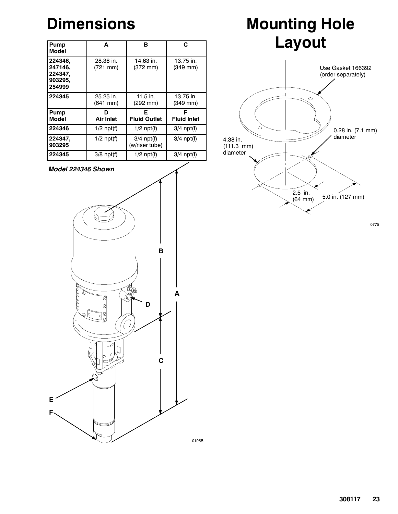## **Dimensions**

| Pump<br>Model                                      | A                                 | в                              | C                         |
|----------------------------------------------------|-----------------------------------|--------------------------------|---------------------------|
| 224346.<br>247146.<br>224347.<br>903295,<br>254999 | 28.38 in.<br>$(721 \text{ mm})$   | 14.63 in.<br>(372 mm)          | $13.75$ in.<br>$(349$ mm) |
| 224345                                             | 25.25 in.<br>$(641 \, \text{mm})$ | $11.5$ in.<br>(292 mm)         | 13.75 in.<br>$(349$ mm)   |
| Pump<br>Model                                      | D<br>Air Inlet                    | Е<br><b>Fluid Outlet</b>       | F<br><b>Fluid Inlet</b>   |
| 224346                                             | $1/2$ npt(f)                      | $1/2$ npt(f)                   | $3/4$ npt(f)              |
| 224347,<br>903295                                  | $1/2$ npt(f)                      | $3/4$ npt(f)<br>(w/riser tube) | $3/4$ npt(f)              |
| 224345                                             | $3/8$ npt(f)                      | $1/2$ npt(f)                   | $3/4$ npt(f)              |





# **Mounting Hole Layout**



0775